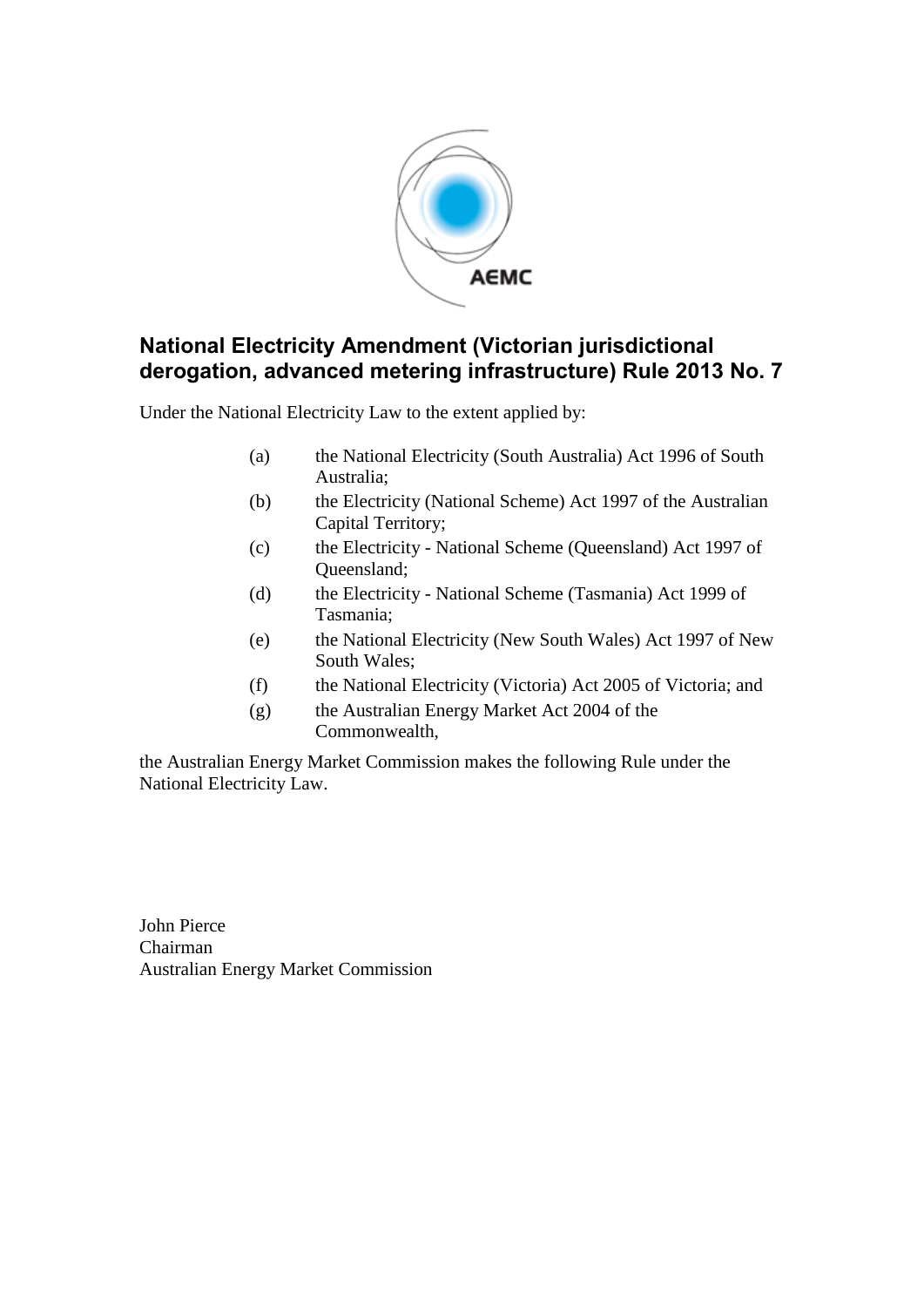

Under the National Electricity Law to the extent applied by:

- (a) the National Electricity (South Australia) Act 1996 of South Australia;
- (b) the Electricity (National Scheme) Act 1997 of the Australian Capital Territory;
- (c) the Electricity National Scheme (Queensland) Act 1997 of Queensland;
- (d) the Electricity National Scheme (Tasmania) Act 1999 of Tasmania;
- (e) the National Electricity (New South Wales) Act 1997 of New South Wales;
- (f) the National Electricity (Victoria) Act 2005 of Victoria; and
- (g) the Australian Energy Market Act 2004 of the Commonwealth,

the Australian Energy Market Commission makes the following Rule under the National Electricity Law.

John Pierce Chairman Australian Energy Market Commission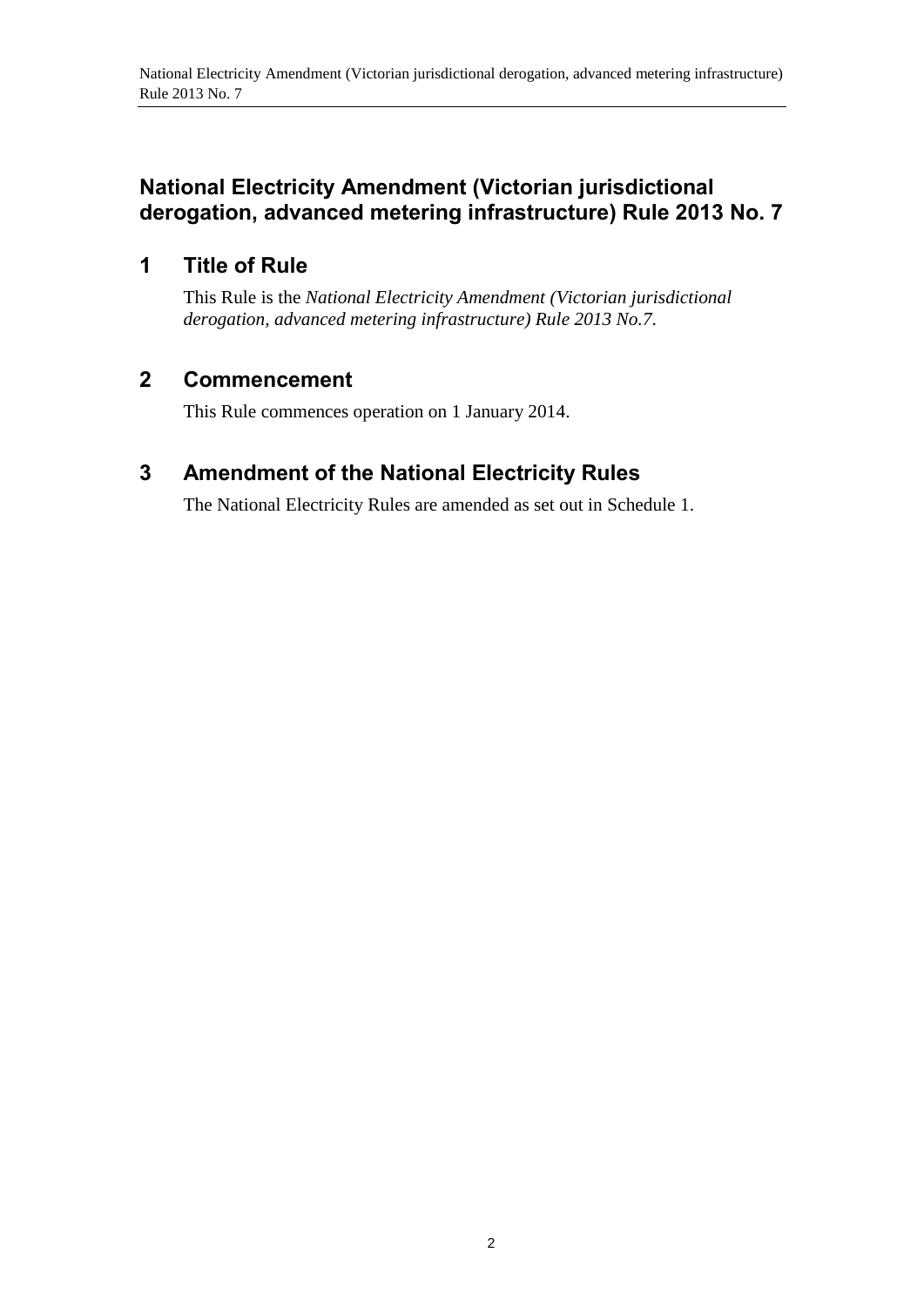# **1 Title of Rule**

This Rule is the *National Electricity Amendment (Victorian jurisdictional derogation, advanced metering infrastructure) Rule 2013 No.7*.

# **2 Commencement**

This Rule commences operation on 1 January 2014.

# <span id="page-1-0"></span>**3 Amendment of the National Electricity Rules**

The National Electricity Rules are amended as set out in [Schedule 1.](#page-2-0)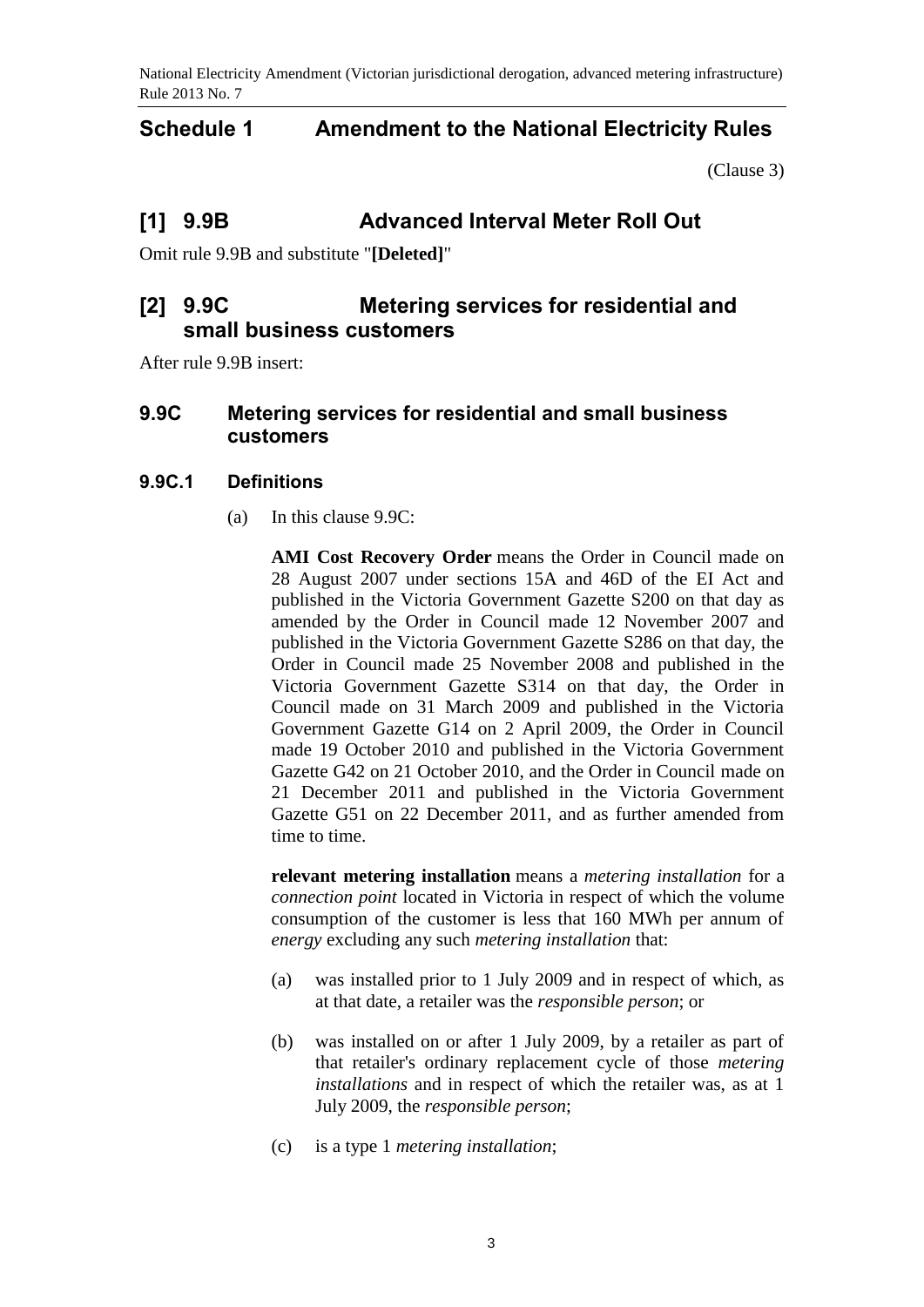## <span id="page-2-0"></span>**Schedule 1 Amendment to the National Electricity Rules**

[\(Clause 3\)](#page-1-0)

## **[1] 9.9B Advanced Interval Meter Roll Out**

Omit rule 9.9B and substitute "**[Deleted]**"

## **[2] 9.9C Metering services for residential and small business customers**

After rule 9.9B insert:

### **9.9C Metering services for residential and small business customers**

#### **9.9C.1 Definitions**

(a) In this clause 9.9C:

**AMI Cost Recovery Order** means the Order in Council made on 28 August 2007 under sections 15A and 46D of the EI Act and published in the Victoria Government Gazette S200 on that day as amended by the Order in Council made 12 November 2007 and published in the Victoria Government Gazette S286 on that day, the Order in Council made 25 November 2008 and published in the Victoria Government Gazette S314 on that day, the Order in Council made on 31 March 2009 and published in the Victoria Government Gazette G14 on 2 April 2009, the Order in Council made 19 October 2010 and published in the Victoria Government Gazette G42 on 21 October 2010, and the Order in Council made on 21 December 2011 and published in the Victoria Government Gazette G51 on 22 December 2011, and as further amended from time to time.

**relevant metering installation** means a *metering installation* for a *connection point* located in Victoria in respect of which the volume consumption of the customer is less that 160 MWh per annum of *energy* excluding any such *metering installation* that:

- (a) was installed prior to 1 July 2009 and in respect of which, as at that date, a retailer was the *responsible person*; or
- (b) was installed on or after 1 July 2009, by a retailer as part of that retailer's ordinary replacement cycle of those *metering installations* and in respect of which the retailer was, as at 1 July 2009, the *responsible person*;
- (c) is a type 1 *metering installation*;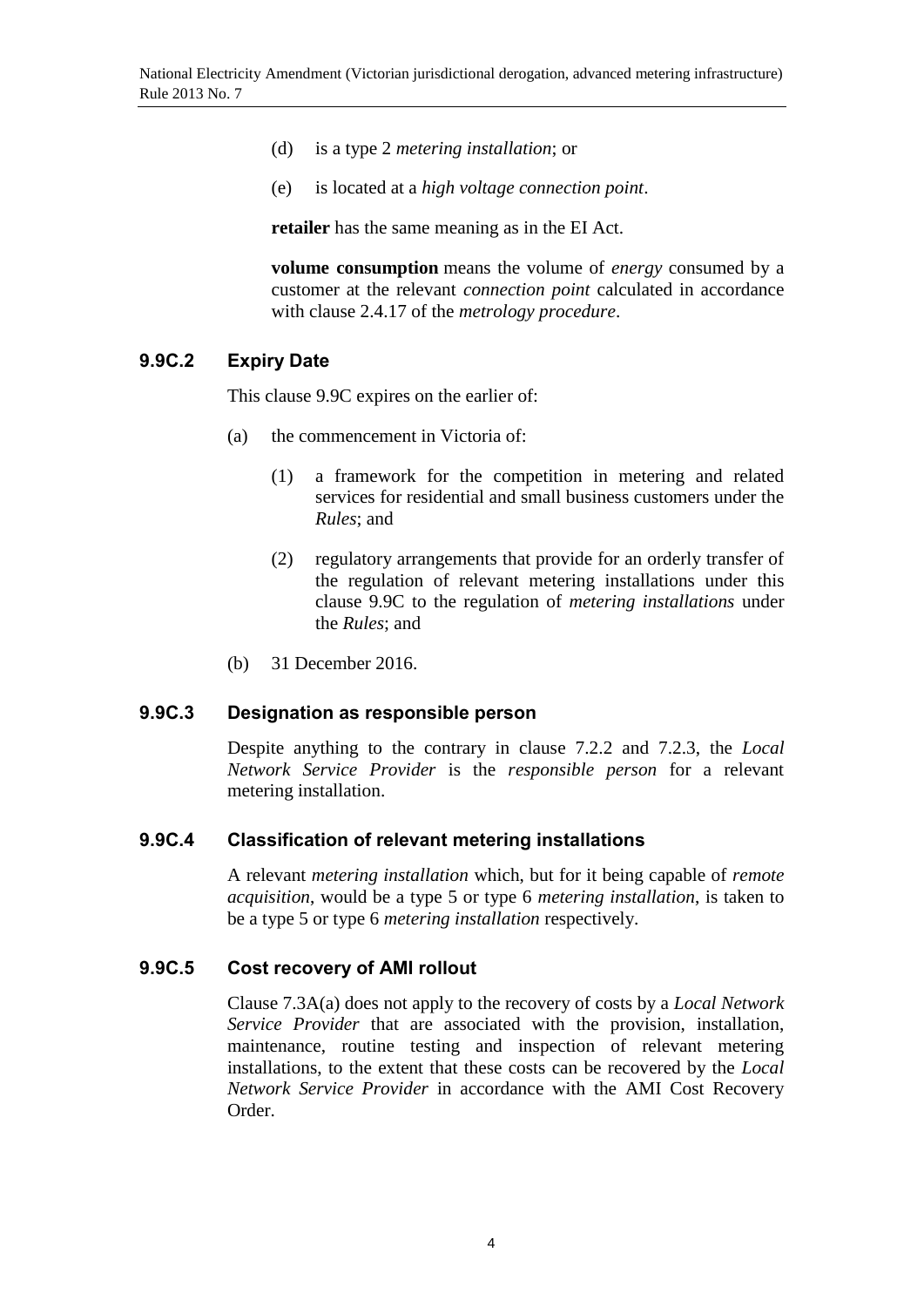- (d) is a type 2 *metering installation*; or
- (e) is located at a *high voltage connection point*.

**retailer** has the same meaning as in the EI Act.

**volume consumption** means the volume of *energy* consumed by a customer at the relevant *connection point* calculated in accordance with clause 2.4.17 of the *metrology procedure*.

#### **9.9C.2 Expiry Date**

This clause 9.9C expires on the earlier of:

- (a) the commencement in Victoria of:
	- (1) a framework for the competition in metering and related services for residential and small business customers under the *Rules*; and
	- (2) regulatory arrangements that provide for an orderly transfer of the regulation of relevant metering installations under this clause 9.9C to the regulation of *metering installations* under the *Rules*; and
- (b) 31 December 2016.

#### **9.9C.3 Designation as responsible person**

Despite anything to the contrary in clause 7.2.2 and 7.2.3, the *Local Network Service Provider* is the *responsible person* for a relevant metering installation.

#### **9.9C.4 Classification of relevant metering installations**

A relevant *metering installation* which, but for it being capable of *remote acquisition*, would be a type 5 or type 6 *metering installation*, is taken to be a type 5 or type 6 *metering installation* respectively.

#### **9.9C.5 Cost recovery of AMI rollout**

Clause 7.3A(a) does not apply to the recovery of costs by a *Local Network Service Provider* that are associated with the provision, installation, maintenance, routine testing and inspection of relevant metering installations, to the extent that these costs can be recovered by the *Local Network Service Provider* in accordance with the AMI Cost Recovery Order.